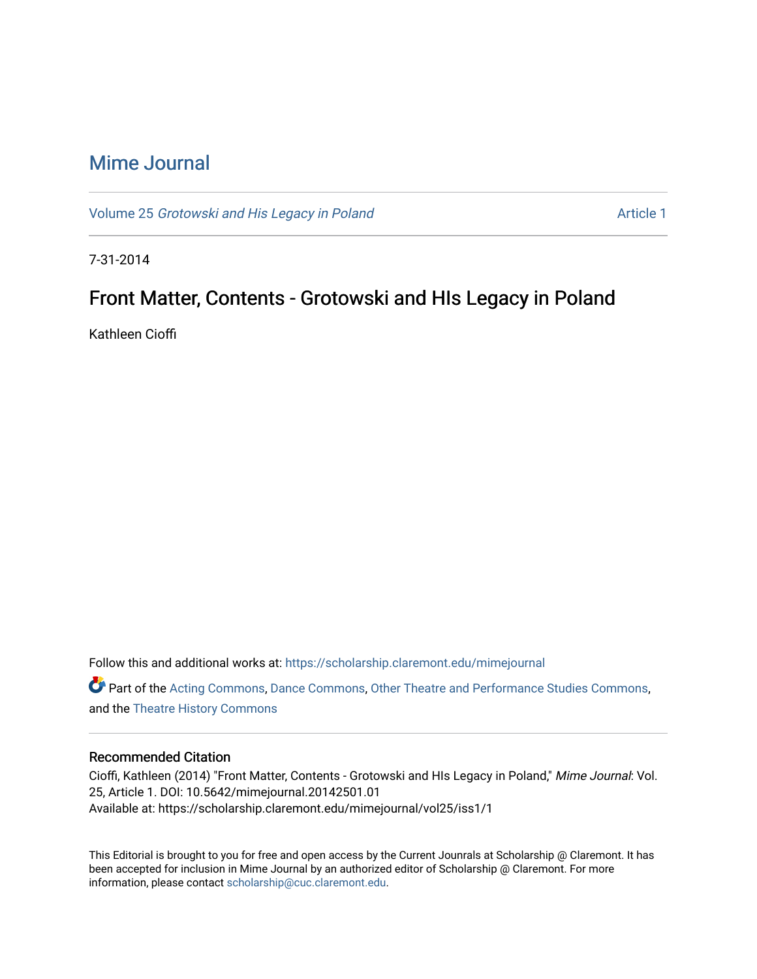## [Mime Journal](https://scholarship.claremont.edu/mimejournal)

Volume 25 [Grotowski and His Legacy in Poland](https://scholarship.claremont.edu/mimejournal/vol25) Article 1

7-31-2014

## Front Matter, Contents - Grotowski and HIs Legacy in Poland

Kathleen Cioffi

Follow this and additional works at: [https://scholarship.claremont.edu/mimejournal](https://scholarship.claremont.edu/mimejournal?utm_source=scholarship.claremont.edu%2Fmimejournal%2Fvol25%2Fiss1%2F1&utm_medium=PDF&utm_campaign=PDFCoverPages) Part of the [Acting Commons](https://network.bepress.com/hgg/discipline/1145?utm_source=scholarship.claremont.edu%2Fmimejournal%2Fvol25%2Fiss1%2F1&utm_medium=PDF&utm_campaign=PDFCoverPages), [Dance Commons](https://network.bepress.com/hgg/discipline/554?utm_source=scholarship.claremont.edu%2Fmimejournal%2Fvol25%2Fiss1%2F1&utm_medium=PDF&utm_campaign=PDFCoverPages), [Other Theatre and Performance Studies Commons](https://network.bepress.com/hgg/discipline/558?utm_source=scholarship.claremont.edu%2Fmimejournal%2Fvol25%2Fiss1%2F1&utm_medium=PDF&utm_campaign=PDFCoverPages), and the [Theatre History Commons](https://network.bepress.com/hgg/discipline/553?utm_source=scholarship.claremont.edu%2Fmimejournal%2Fvol25%2Fiss1%2F1&utm_medium=PDF&utm_campaign=PDFCoverPages) 

#### Recommended Citation

Cioffi, Kathleen (2014) "Front Matter, Contents - Grotowski and HIs Legacy in Poland," Mime Journal: Vol. 25, Article 1. DOI: 10.5642/mimejournal.20142501.01 Available at: https://scholarship.claremont.edu/mimejournal/vol25/iss1/1

This Editorial is brought to you for free and open access by the Current Jounrals at Scholarship @ Claremont. It has been accepted for inclusion in Mime Journal by an authorized editor of Scholarship @ Claremont. For more information, please contact [scholarship@cuc.claremont.edu](mailto:scholarship@cuc.claremont.edu).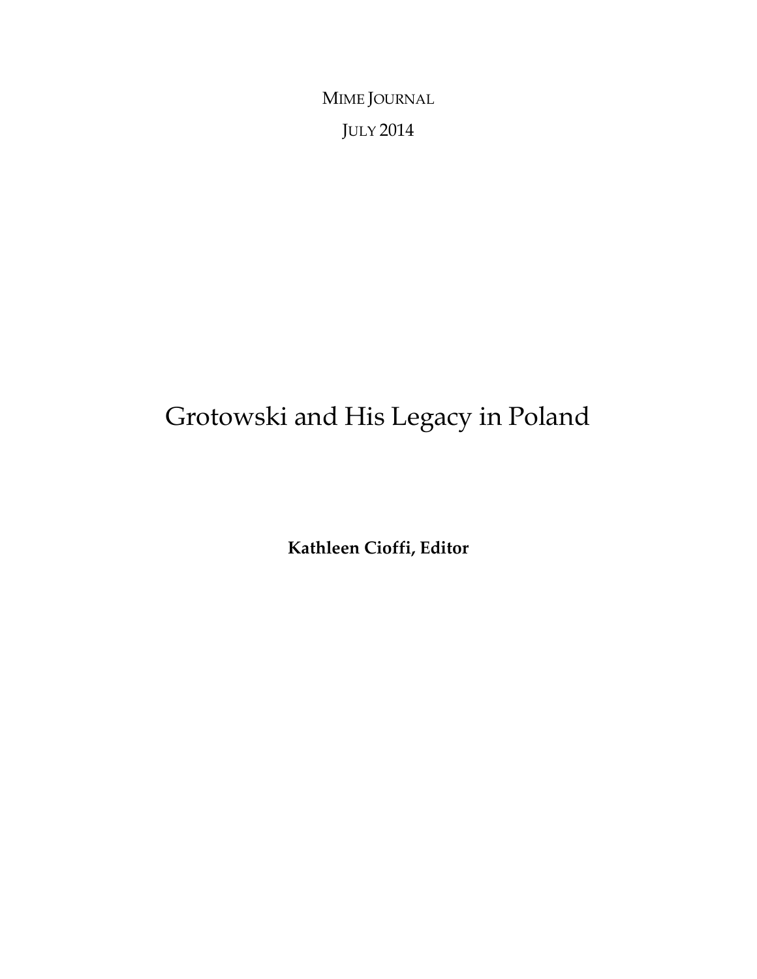MIME JOURNAL JULY 2014

# Grotowski and His Legacy in Poland

**Kathleen Cioffi, Editor**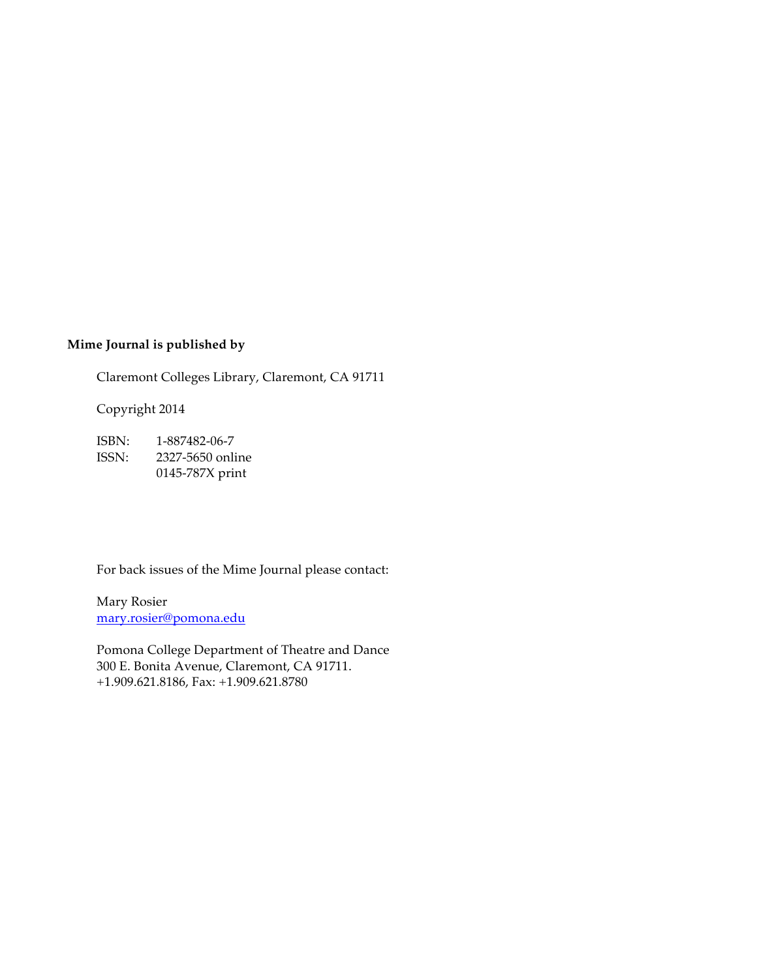### **Mime Journal is published by**

Claremont Colleges Library, Claremont, CA 91711

Copyright 2014

ISBN: 1-887482-06-7 ISSN: 2327-5650 online 0145-787X print

For back issues of the Mime Journal please contact:

Mary Rosier mary.rosier@pomona.edu

Pomona College Department of Theatre and Dance 300 E. Bonita Avenue, Claremont, CA 91711. +1.909.621.8186, Fax: +1.909.621.8780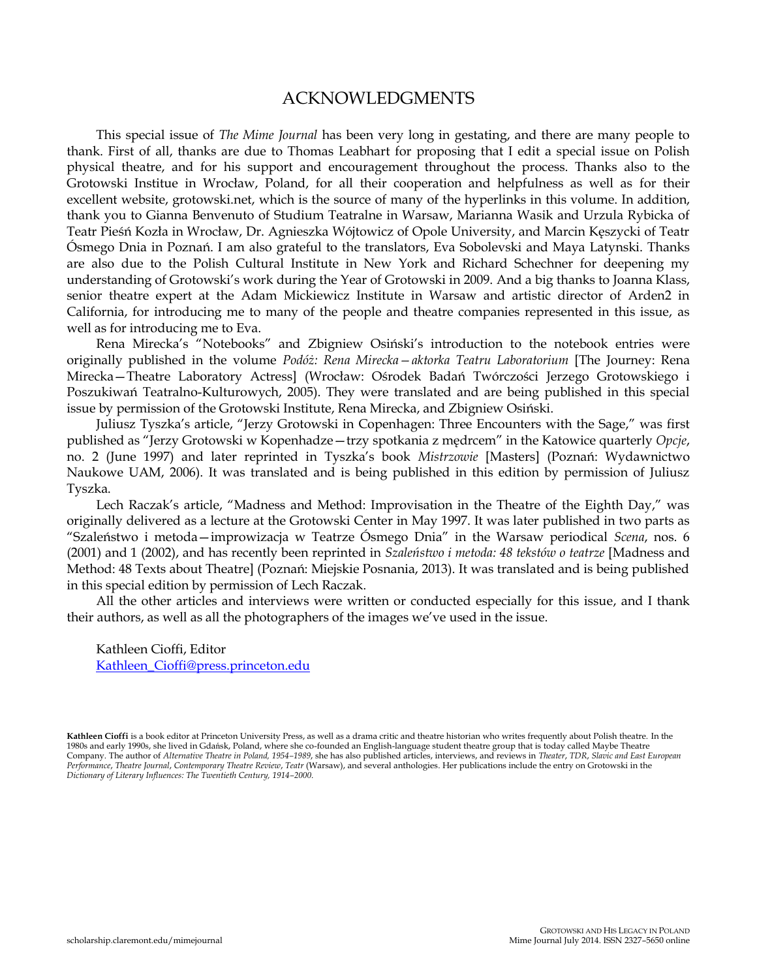### ACKNOWLEDGMENTS

This special issue of *The Mime Journal* has been very long in gestating, and there are many people to thank. First of all, thanks are due to Thomas Leabhart for proposing that I edit a special issue on Polish physical theatre, and for his support and encouragement throughout the process. Thanks also to the Grotowski Institue in Wrocław, Poland, for all their cooperation and helpfulness as well as for their excellent website, grotowski.net, which is the source of many of the hyperlinks in this volume. In addition, thank you to Gianna Benvenuto of Studium Teatralne in Warsaw, Marianna Wasik and Urzula Rybicka of Teatr Pieśń Kozła in Wrocław, Dr. Agnieszka Wójtowicz of Opole University, and Marcin Kęszycki of Teatr Ósmego Dnia in Poznań. I am also grateful to the translators, Eva Sobolevski and Maya Latynski. Thanks are also due to the Polish Cultural Institute in New York and Richard Schechner for deepening my understanding of Grotowski's work during the Year of Grotowski in 2009. And a big thanks to Joanna Klass, senior theatre expert at the Adam Mickiewicz Institute in Warsaw and artistic director of Arden2 in California, for introducing me to many of the people and theatre companies represented in this issue, as well as for introducing me to Eva.

Rena Mirecka's "Notebooks" and Zbigniew Osiński's introduction to the notebook entries were originally published in the volume *Podóż: Rena Mirecka—aktorka Teatru Laboratorium* [The Journey: Rena Mirecka—Theatre Laboratory Actress] (Wrocław: Ośrodek Badań Twórczości Jerzego Grotowskiego i Poszukiwań Teatralno-Kulturowych, 2005). They were translated and are being published in this special issue by permission of the Grotowski Institute, Rena Mirecka, and Zbigniew Osiński.

Juliusz Tyszka's article, "Jerzy Grotowski in Copenhagen: Three Encounters with the Sage," was first published as "Jerzy Grotowski w Kopenhadze—trzy spotkania z mędrcem" in the Katowice quarterly *Opcje*, no. 2 (June 1997) and later reprinted in Tyszka's book *Mistrzowie* [Masters] (Poznań: Wydawnictwo Naukowe UAM, 2006). It was translated and is being published in this edition by permission of Juliusz Tyszka.

Lech Raczak's article, "Madness and Method: Improvisation in the Theatre of the Eighth Day," was originally delivered as a lecture at the Grotowski Center in May 1997. It was later published in two parts as "Szaleństwo i metoda—improwizacja w Teatrze Ósmego Dnia" in the Warsaw periodical *Scena*, nos. 6 (2001) and 1 (2002), and has recently been reprinted in *Szaleństwo i metoda: 48 tekstów o teatrze* [Madness and Method: 48 Texts about Theatre] (Poznań: Miejskie Posnania, 2013). It was translated and is being published in this special edition by permission of Lech Raczak.

All the other articles and interviews were written or conducted especially for this issue, and I thank their authors, as well as all the photographers of the images we've used in the issue.

Kathleen Cioffi, Editor [Kathleen\\_Cioffi@press.princeton.edu](mailto:Kathleen_Cioffi@press.princeton.edu)

**Kathleen Cioffi** is a book editor at Princeton University Press, as well as a drama critic and theatre historian who writes frequently about Polish theatre. In the 1980s and early 1990s, she lived in Gdańsk, Poland, where she co-founded an English-language student theatre group that is today called Maybe Theatre<br>Company. The author of *Alternative Theatre in Poland, 1954–1989,* she h *Performance*, *Theatre Journal*, *Contemporary Theatre Review*, *Teatr* (Warsaw), and several anthologies. Her publications include the entry on Grotowski in the *Dictionary of Literary Influences: The Twentieth Century, 1914–2000*.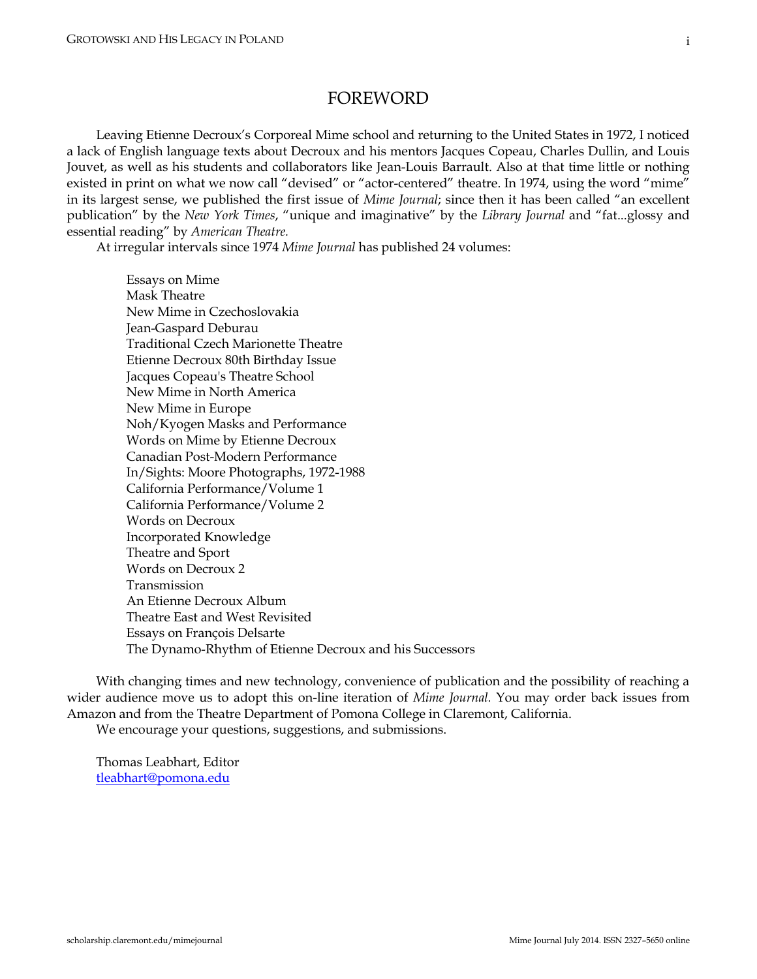### FOREWORD

Leaving Etienne Decroux's Corporeal Mime school and returning to the United States in 1972, I noticed a lack of English language texts about Decroux and his mentors Jacques Copeau, Charles Dullin, and Louis Jouvet, as well as his students and collaborators like Jean-Louis Barrault. Also at that time little or nothing existed in print on what we now call "devised" or "actor-centered" theatre. In 1974, using the word "mime" in its largest sense, we published the first issue of *Mime Journal*; since then it has been called "an excellent publication" by the *New York Times*, "unique and imaginative" by the *Library Journal* and "fat...glossy and essential reading" by *American Theatre.* 

At irregular intervals since 1974 *Mime Journal* has published 24 volumes:

Essays on Mime Mask Theatre New Mime in Czechoslovakia Jean-Gaspard Deburau Traditional Czech Marionette Theatre Etienne Decroux 80th Birthday Issue Jacques Copeau's Theatre School New Mime in North America New Mime in Europe Noh/Kyogen Masks and Performance Words on Mime by Etienne Decroux Canadian Post-Modern Performance In/Sights: Moore Photographs, 1972-1988 California Performance/Volume 1 California Performance/Volume 2 Words on Decroux Incorporated Knowledge Theatre and Sport Words on Decroux 2 Transmission An Etienne Decroux Album Theatre East and West Revisited Essays on François Delsarte The Dynamo-Rhythm of Etienne Decroux and his Successors

With changing times and new technology, convenience of publication and the possibility of reaching a wider audience move us to adopt this on-line iteration of *Mime Journal.* You may order back issues from Amazon and from the Theatre Department of Pomona College in Claremont, California.

We encourage your questions, suggestions, and submissions.

Thomas Leabhart, Editor [tleabhart@pomona.edu](mailto:tleabhart@pomona.edu)